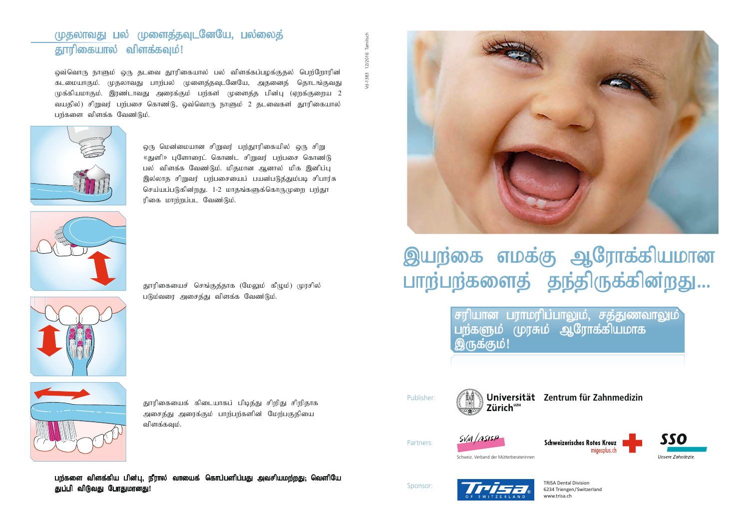# முதலாவது பல் முளைத்தவுடனேயே, பல்லைத் தூரிகையால் விளக்கவும்!

<u>ஒவ்வொரு நாளும் ஒரு தடவை த</u>ூரிகையால் பல் விளக்கப்பழக்குதல் பெற்றோரின் கடமையாகும். முதலாவது பாற்பல் முளைத்தவுடனேயே, அதனைத் தொடங்குவது முக்கியமாகும். இரண்டாவது அரைக்கும் பற்கள் முளைத்த பின்பு (ஏறக்குறைய 2 வயதில்) சிறுவர் பற்பசை கொண்டு, ஒவ்வொரு நாளும் 2 தடவைகள் தூரிகையால் பற்களை விளக்க வேண்டும்.



ஒரு மென்மையான சிறுவர் பற்தூரிகையில் ஒரு சிறு «துளி» புளோரைட் கொண $i$ ட சிறுவர் பற்பசை கொண $i$ டு பல் விளக்க வேண்டும். மிதமான ஆனால் மிக இனிப்பு இல்லாத சிறுவர் பற்பசையைப் பயன்படுத்தும்படி சிபார்சு செய்யப்படுகின்றது. 1-2 மாதங்களுக்கொருமுறை பற்தூ ரிகை மாற்றப்பட வேண்டும்.





தூரிகையைச் செங்குத்தாக (மேலும் கீழும்) முரசில் படும்வரை அசைத்து விளக்க வேண்டும்.



தூரிகையைக் கிடையாகப் பிடித்து சிறிது சிறிதாக அசைத்து அரைக்கும் பாற்பற்களின் மேற்பகுதியை விளக்கவும்.

பற்களை விளக்கிய பின்பு, நீரால் வாயைக் கொப்பளிப்பது அவசியமற்றது. வெளியே துப்பி விடுவது போதுமானது!



# இயற்கை எமக்கு ஆரோக்கியமான பாற்பற்களைத் தந்திருக்கின்றது...

சரியான பராமரிப்பாலும், சத்துணவாலும் $\vec{a}$ பற்களும் முரசும் ஆரோக்கியமாக இருக்கும்!



**Zentrum für Zahnmedizin Zentrum für Zahnmedizin**Zürich<sup>uzH</sup>





**SSO** Schweizerisches Rotes Kreuz Schweiz. Zahnärzte-Gesellschaft migesplus.ch Unsere Zahnärzte



Partners: Partner:



Schweiz. Verband der Mütterberaterinnen

6234 Triengen/Switzerland – www.trisa.ch TRISA Dental Division www.trisa.ch